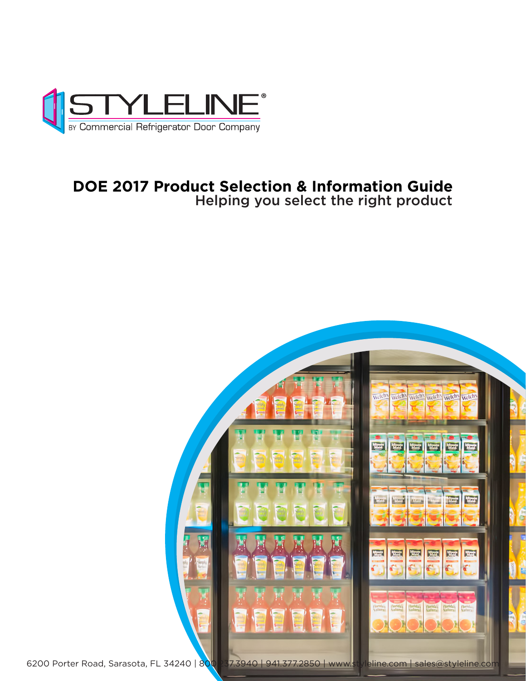

## **DOE 2017 Product Selection & Information Guide** Helping you select the right product

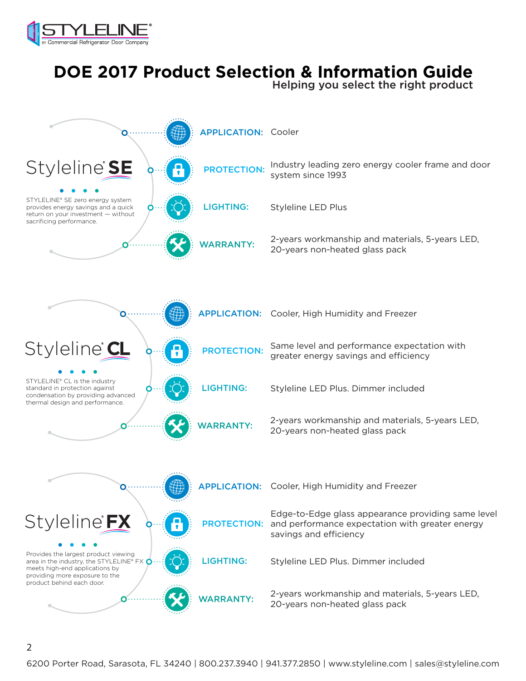

## **DOE 2017 Product Selection & Information Guide**

Helping you select the right product



6200 Porter Road, Sarasota, FL 34240 | 800.237.3940 | 941.377.2850 | www.styleline.com | sales@styleline.com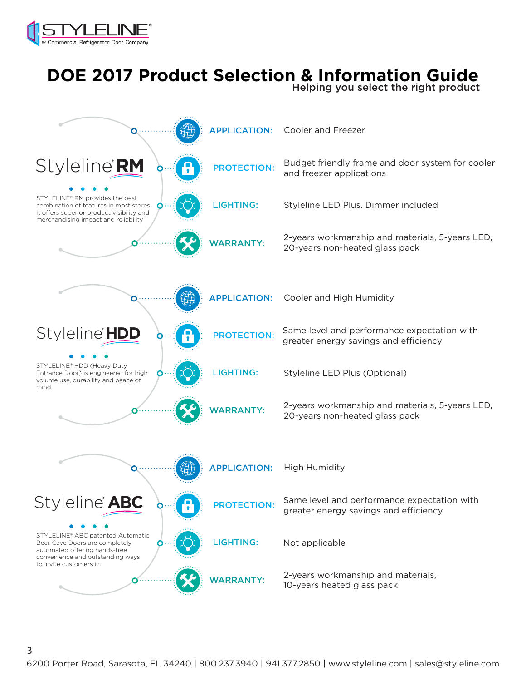

## **DOE 2017 Product Selection & Information Guide**

Helping you select the right product



6200 Porter Road, Sarasota, FL 34240 | 800.237.3940 | 941.377.2850 | www.styleline.com | sales@styleline.com